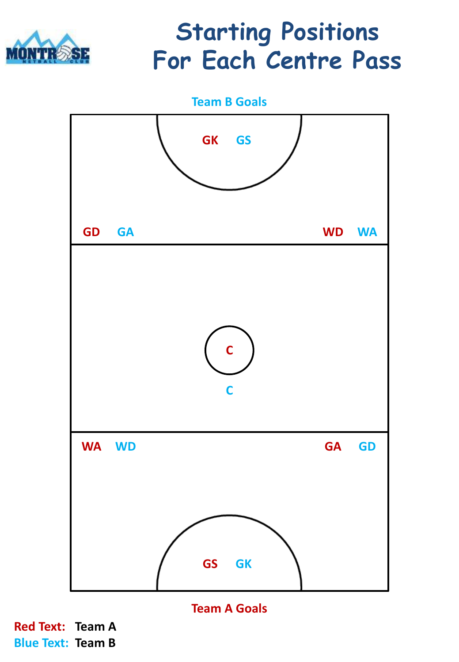

## **Starting Positions For Each Centre Pass**

**Team B Goals**



**Team A Goals**

**Red Text: Team A Blue Text: Team B**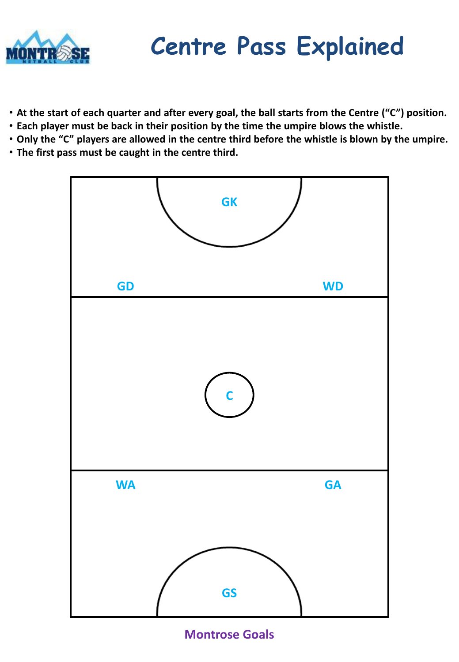

## **Centre Pass Explained**

- **At the start of each quarter and after every goal, the ball starts from the Centre ("C") position.**
- **Each player must be back in their position by the time the umpire blows the whistle.**
- **Only the "C" players are allowed in the centre third before the whistle is blown by the umpire.**
- **The first pass must be caught in the centre third.**



**Montrose Goals**